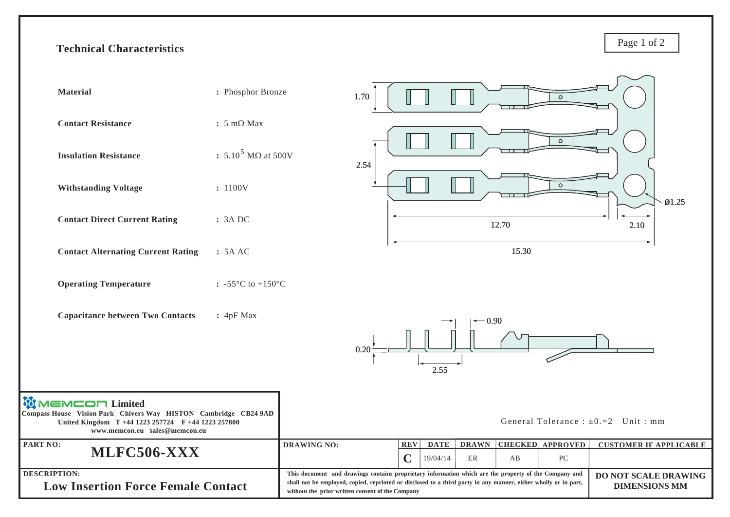## **Technical Characteristics**

Page 1 of 2

| <b>Material</b>                                                                                                                                                                   | : Phosphor Bronze                       |                                                                                                                                                                                                                                                                                                                              | 1.70 |                                                      |                          |       | $\circ$                                     |                                         |
|-----------------------------------------------------------------------------------------------------------------------------------------------------------------------------------|-----------------------------------------|------------------------------------------------------------------------------------------------------------------------------------------------------------------------------------------------------------------------------------------------------------------------------------------------------------------------------|------|------------------------------------------------------|--------------------------|-------|---------------------------------------------|-----------------------------------------|
| <b>Contact Resistance</b>                                                                                                                                                         | $: 5 \text{ mA}$                        |                                                                                                                                                                                                                                                                                                                              |      |                                                      |                          |       |                                             |                                         |
| <b>Insulation Resistance</b>                                                                                                                                                      | : 5.10 <sup>5</sup> MQ at 500V          |                                                                                                                                                                                                                                                                                                                              | 2.54 |                                                      |                          |       | $\circ$                                     |                                         |
| <b>Withstanding Voltage</b>                                                                                                                                                       | : 1100V                                 |                                                                                                                                                                                                                                                                                                                              |      |                                                      |                          |       | $\circ$                                     | $\varnothing$ 1.25                      |
| <b>Contact Direct Current Rating</b>                                                                                                                                              | : 3A DC                                 |                                                                                                                                                                                                                                                                                                                              |      |                                                      |                          | 12.70 |                                             | 2.10                                    |
| <b>Contact Alternating Current Rating</b>                                                                                                                                         | : 5A AC                                 |                                                                                                                                                                                                                                                                                                                              |      |                                                      |                          | 15.30 |                                             |                                         |
| <b>Operating Temperature</b>                                                                                                                                                      | : -55 $^{\circ}$ C to +150 $^{\circ}$ C |                                                                                                                                                                                                                                                                                                                              |      |                                                      |                          |       |                                             |                                         |
| <b>Capacitance between Two Contacts</b>                                                                                                                                           | : 4pF Max                               |                                                                                                                                                                                                                                                                                                                              | 0.20 | 2.55                                                 | 0.90                     |       |                                             |                                         |
| <b>WIMEMCON Limited</b><br>Compass House Vision Park Chivers Way HISTON Cambridge CB24 9AD<br>United Kingdom T +44 1223 257724 F +44 1223 257800<br>www.memcon.eu sales@memcon.eu |                                         |                                                                                                                                                                                                                                                                                                                              |      |                                                      |                          |       |                                             | General Tolerance : $\pm 0.2$ Unit : mm |
| PART NO:<br>MLFC506-XXX                                                                                                                                                           |                                         | <b>DRAWING NO:</b>                                                                                                                                                                                                                                                                                                           |      | <b>DATE</b><br><b>REV</b><br>$\mathbf C$<br>19/04/14 | <b>DRAWN</b><br>$\rm ER$ | AB    | <b>CHECKED</b> APPROVED<br>${\rm P}{\bf C}$ | <b>CUSTOMER IF APPLICABLE</b>           |
| <b>DESCRIPTION:</b><br><b>Low Insertion Force Female Contact</b>                                                                                                                  |                                         | This document and drawings contains proprietary information which are the property of the Company and<br>DO NOT SCALE DRAWING<br>shall not be employed, copied, reprinted or disclosed to a third party in any manner, either wholly or in part,<br><b>DIMENSIONS MM</b><br>without the prior written consent of the Company |      |                                                      |                          |       |                                             |                                         |